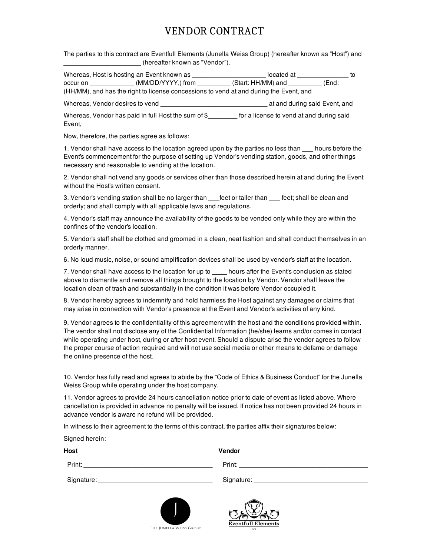## VENDOR CONTRACT

The parties to this contract are Eventfull Elements (Junella Weiss Group) (hereafter known as "Host") and \_\_\_\_\_\_\_\_\_\_\_\_\_\_\_\_\_\_\_\_\_ (hereafter known as "Vendor").

|          | Whereas, Host is hosting an Event known as                                             | located at         |       |  |
|----------|----------------------------------------------------------------------------------------|--------------------|-------|--|
| occur on | (MM/DD/YYYY,) from                                                                     | (Start: HH/MM) and | (End: |  |
|          | (HH/MM), and has the right to license concessions to vend at and during the Event, and |                    |       |  |

Whereas, Vendor desires to vend \_\_\_\_\_\_\_\_\_\_\_\_\_\_\_\_\_\_\_\_\_\_\_\_\_\_\_\_\_ at and during said Event, and

Whereas, Vendor has paid in full Host the sum of \$\_\_\_\_\_\_\_\_ for a license to vend at and during said Event,

Now, therefore, the parties agree as follows:

1. Vendor shall have access to the location agreed upon by the parties no less than \_\_\_ hours before the Event's commencement for the purpose of setting up Vendor's vending station, goods, and other things necessary and reasonable to vending at the location.

2. Vendor shall not vend any goods or services other than those described herein at and during the Event without the Host's written consent.

3. Vendor's vending station shall be no larger than feet or taller than feet; shall be clean and orderly; and shall comply with all applicable laws and regulations.

4. Vendor's staff may announce the availability of the goods to be vended only while they are within the confines of the vendor's location.

5. Vendor's staff shall be clothed and groomed in a clean, neat fashion and shall conduct themselves in an orderly manner.

6. No loud music, noise, or sound amplification devices shall be used by vendor's staff at the location.

7. Vendor shall have access to the location for up to \_\_\_\_ hours after the Event's conclusion as stated above to dismantle and remove all things brought to the location by Vendor. Vendor shall leave the location clean of trash and substantially in the condition it was before Vendor occupied it.

8. Vendor hereby agrees to indemnify and hold harmless the Host against any damages or claims that may arise in connection with Vendor's presence at the Event and Vendor's activities of any kind.

9. Vendor agrees to the confidentiality of this agreement with the host and the conditions provided within. The vendor shall not disclose any of the Confidential Information {he/she) learns and/or comes in contact while operating under host, during or after host event. Should a dispute arise the vendor agrees to follow the proper course of action required and will not use social media or other means to defame or damage the online presence of the host.

10. Vendor has fully read and agrees to abide by the "Code of Ethics & Business Conduct" for the Junella Weiss Group while operating under the host company.

11. Vendor agrees to provide 24 hours cancellation notice prior to date of event as listed above. Where cancellation is provided in advance no penalty will be issued. If notice has not been provided 24 hours in advance vendor is aware no refund will be provided.

In witness to their agreement to the terms of this contract, the parties affix their signatures below:

Signed herein:

**Host Vendor**

Print: \_\_\_\_\_\_\_\_\_\_\_\_\_\_\_\_\_\_\_\_\_\_\_\_\_\_\_\_\_\_\_\_\_\_\_ Print: \_\_\_\_\_\_\_\_\_\_\_\_\_\_\_\_\_\_\_\_\_\_\_\_\_\_\_\_\_\_\_\_\_\_\_

Signature: \_\_\_\_\_\_\_\_\_\_\_\_\_\_\_\_\_\_\_\_\_\_\_\_\_\_\_\_\_\_\_ Signature: \_\_\_\_\_\_\_\_\_\_\_\_\_\_\_\_\_\_\_\_\_\_\_\_\_\_\_\_\_\_\_